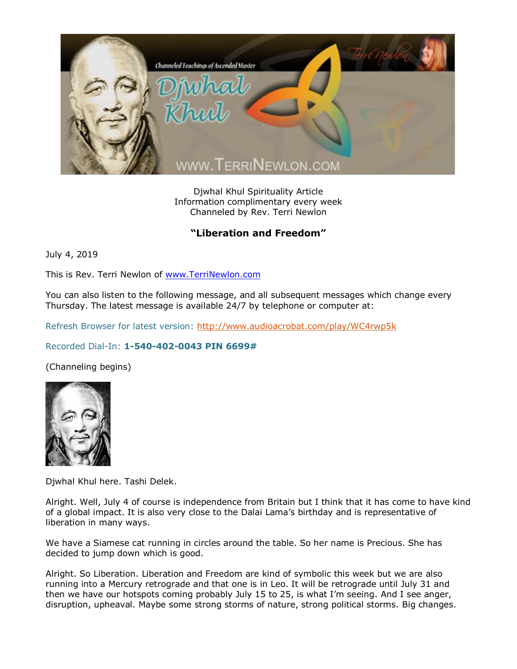

Djwhal Khul Spirituality Article Information complimentary every week Channeled by Rev. Terri Newlon

## **"Liberation and Freedom"**

July 4, 2019

This is Rev. Terri Newlon of [www.TerriNewlon.com](http://www.terrinewlon.com/)

You can also listen to the following message, and all subsequent messages which change every Thursday. The latest message is available 24/7 by telephone or computer at:

Refresh Browser for latest version:<http://www.audioacrobat.com/play/WC4rwp5k>

## Recorded Dial-In: **1-540-402-0043 PIN 6699#**

(Channeling begins)



Djwhal Khul here. Tashi Delek.

Alright. Well, July 4 of course is independence from Britain but I think that it has come to have kind of a global impact. It is also very close to the Dalai Lama's birthday and is representative of liberation in many ways.

We have a Siamese cat running in circles around the table. So her name is Precious. She has decided to jump down which is good.

Alright. So Liberation. Liberation and Freedom are kind of symbolic this week but we are also running into a Mercury retrograde and that one is in Leo. It will be retrograde until July 31 and then we have our hotspots coming probably July 15 to 25, is what I'm seeing. And I see anger, disruption, upheaval. Maybe some strong storms of nature, strong political storms. Big changes.